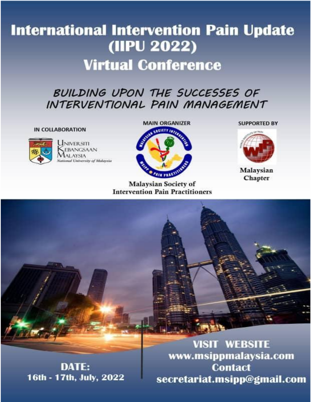# **International Intervention Pain Update** (IIPU 2022) **Virtual Conference**

# BUILDING UPON THE SUCCESSES OF INTERVENTIONAL PAIN MANAGEMENT

#### **IN COLLABORATION**



UNIVERSITI **EBANGSAAN ALAYSIA** National University of Malaysia



**Malaysian Society of Intervention Pain Practitioners**  **SUPPORTED BY** 



Malaysian Chapter

DATE: 16th - 17th, July, 2022

**VISIT WEBSITE** www.msippmalaysia.com **Contact** secretariat.msipp@gmail.com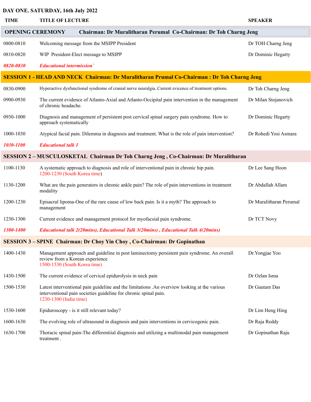# **DAY ONE. SATURDAY, 16th July 2022**

| <b>TIME</b>                                                                                       | <b>TITLE OF LECTURE</b>                                                                                                                                                                    | <b>SPEAKER</b>          |  |
|---------------------------------------------------------------------------------------------------|--------------------------------------------------------------------------------------------------------------------------------------------------------------------------------------------|-------------------------|--|
| Chairman: Dr Muralitharan Perumal Co-Chairman: Dr Toh Charng Jeng<br><b>OPENING CEREMONY</b>      |                                                                                                                                                                                            |                         |  |
| 0800-0810                                                                                         | Welcoming message from the MSIPP President                                                                                                                                                 | Dr TOH Charng Jeng      |  |
| 0810-0820                                                                                         | WIP President-Elect message to MSIPP                                                                                                                                                       | Dr Dominic Hegarty      |  |
| 0820-0830                                                                                         | <b>Educational intermission</b>                                                                                                                                                            |                         |  |
| <b>SESSION 1 - HEAD AND NECK Chairman: Dr Muralitharan Prumal Co-Chairman: Dr Toh Charng Jeng</b> |                                                                                                                                                                                            |                         |  |
| 0830-0900                                                                                         | Hyperactive dysfunctional syndrome of cranial nerve neuralgia. Current evicence of treatment options.                                                                                      | Dr Toh Charng Jeng      |  |
| 0900-0930                                                                                         | The current evidence of Atlanto-Axial and Atlanto-Occipital pain intervention in the management<br>of chronic headache.                                                                    | Dr Milan Stojanovich    |  |
| 0930-1000                                                                                         | Diagnosis and management of persistent post cervical spinal surgery pain syndrome. How to<br>approach systematically                                                                       | Dr Dominic Hegarty      |  |
| 1000-1030                                                                                         | Atypical facial pain. Dilemma in diagnosis and treatment. What is the role of pain intervention?                                                                                           | Dr Rohedi Yosi Asmara   |  |
| 1030-1100                                                                                         | <b>Educational talk 1</b>                                                                                                                                                                  |                         |  |
| <b>SESSION 2 – MUSCULOSKETAL Chairman Dr Toh Charng Jeng, Co-Chairman: Dr Muralitharan</b>        |                                                                                                                                                                                            |                         |  |
| 1100-1130                                                                                         | A systematic approach to diagnosis and role of interventional pain in chronic hip pain.<br>1200-1230 (South Korea time)                                                                    | Dr Lee Sang Hoon        |  |
| 1130-1200                                                                                         | What are the pain generators in chronic ankle pain? The role of pain interventions in treatment<br>modality                                                                                | Dr Abdallah Allam       |  |
| 1200-1230                                                                                         | Episacral lipoma-One of the rare cause of low back pain. Is it a myth? The approach to<br>management                                                                                       | Dr Muralitharan Perumal |  |
| 1230-1300                                                                                         | Current evidence and management protocol for myofacsial pain syndrome.                                                                                                                     | Dr TCT Novy             |  |
| 1300-1400                                                                                         | Educational talk 2(20mins), Educational Talk 3(20mins), Educational Talk 4(20mins)                                                                                                         |                         |  |
| <b>SESSION 3-SPINE Chairman: Dr Choy Yin Choy, Co-Chairman: Dr Gopinathan</b>                     |                                                                                                                                                                                            |                         |  |
| 1400-1430                                                                                         | Management approach and guideline in post laminectomy persistent pain syndrome. An overall<br>review from a Korean experience<br>1500-1530 (South Korea time)                              | Dr. Yongjae Yoo         |  |
| 1430-1500                                                                                         | The current evidence of cervical epidurolysis in neck pain                                                                                                                                 | Dr Ozlan Isma           |  |
| 1500-1530                                                                                         | Latest interventional pain guideline and the limitations .An overview looking at the various<br>interventional pain societies guideline for chronic spinal pain.<br>1230-1300 (India time) | Dr Gautam Das           |  |
| 1530-1600                                                                                         | Epiduroscopy - is it still relevant today?                                                                                                                                                 | Dr Lim Heng Hing        |  |
| 1600-1630                                                                                         | The evolving role of ultrasound in diagnosis and pain interventions in cervicogenic pain.                                                                                                  | Dr Raja Reddy           |  |
| 1630-1700                                                                                         | Thoracic spinal pain-The differentiial diagnosis and utilizing a multimodal pain management<br>treatment.                                                                                  | Dr Gopinathan Raju      |  |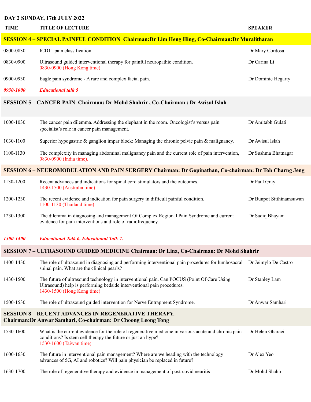# **DAY 2 SUNDAY, 17th JULY 2022**

| <b>TIME</b>                                                                                                                         | <b>TITLE OF LECTURE</b>                                                                                                                                                                            | <b>SPEAKER</b>           |  |
|-------------------------------------------------------------------------------------------------------------------------------------|----------------------------------------------------------------------------------------------------------------------------------------------------------------------------------------------------|--------------------------|--|
|                                                                                                                                     | <b>SESSION 4 – SPECIAL PAINFUL CONDITION Chairman: Dr Lim Heng Hing, Co-Chairman: Dr Muralitharan</b>                                                                                              |                          |  |
| 0800-0830                                                                                                                           | ICD11 pain classification                                                                                                                                                                          | Dr Mary Cordosa          |  |
| 0830-0900                                                                                                                           | Ultrasound guided interventional therapy for painful neuropathic condition.<br>0830-0900 (Hong Kong time)                                                                                          | Dr Carina Li             |  |
| 0900-0930                                                                                                                           | Eagle pain syndrome - A rare and complex facial pain.                                                                                                                                              | Dr Dominic Hegarty       |  |
| 0930-1000                                                                                                                           | <b>Educational talk 5</b>                                                                                                                                                                          |                          |  |
| <b>SESSION 5 – CANCER PAIN Chairman: Dr Mohd Shahrir, Co-Chairman: Dr Awisul Islah</b>                                              |                                                                                                                                                                                                    |                          |  |
| 1000-1030                                                                                                                           | The cancer pain dilemma. Addressing the elephant in the room. Oncologist's versus pain<br>specialist's role in cancer pain management.                                                             | Dr Amitabh Gulati        |  |
| 1030-1100                                                                                                                           | Superior hypogastric $\&$ ganglion impar block: Managing the chronic pelvic pain $\&$ malignancy.                                                                                                  | Dr Awisul Islah          |  |
| 1100-1130                                                                                                                           | The complexity in managing abdominal malignancy pain and the current role of pain intervention,<br>0830-0900 (India time).                                                                         | Dr Sushma Bhatnagar      |  |
| SESSION 6-NEUROMODULATION AND PAIN SURGERY Chairman: Dr Gopinathan, Co-chairman: Dr Toh Charng Jeng                                 |                                                                                                                                                                                                    |                          |  |
| 1130-1200                                                                                                                           | Recent advances and indications for spinal cord stimulators and the outcomes.<br>1430-1500 (Australia time)                                                                                        | Dr Paul Gray             |  |
| 1200-1230                                                                                                                           | The recent evidence and indication for pain surgery in difficult painful condition.<br>1100-1130 (Thailand time)                                                                                   | Dr Bunpot Sitthinamsuwan |  |
| 1230-1300                                                                                                                           | The dilemma in diagnosing and management Of Complex Regional Pain Syndrome and current<br>evidence for pain interventions and role of radiofrequency.                                              | Dr Sadiq Bhayani         |  |
| 1300-1400                                                                                                                           | <b>Educational Talk 6, Educational Talk 7.</b>                                                                                                                                                     |                          |  |
| SESSION 7 - ULTRASOUND GUIDED MEDICINE Chairman: Dr Lina, Co-Chairman: Dr Mohd Shahrir                                              |                                                                                                                                                                                                    |                          |  |
| 1400-1430                                                                                                                           | The role of ultrasound in diagnosing and performing interventional pain procedures for lumbosacral<br>spinal pain. What are the clinical pearls?                                                   | Dr Jeimylo De Castro     |  |
| 1430-1500                                                                                                                           | The future of ultrasound technology in interventional pain. Can POCUS (Point Of Care Using<br>Ultrasound) help is performing bedside interventional pain procedures.<br>1430-1500 (Hong Kong time) | Dr Stanley Lam           |  |
| 1500-1530                                                                                                                           | The role of ultrasound guided intervention for Nerve Entrapment Syndrome.                                                                                                                          | Dr Anwar Samhari         |  |
| <b>SESSION 8 - RECENT ADVANCES IN REGENERATIVE THERAPY.</b><br><b>Chairman: Dr Anwar Samhari, Co-chairman: Dr Choong Leong Tong</b> |                                                                                                                                                                                                    |                          |  |
| 1530-1600                                                                                                                           | What is the current evidence for the role of regenerative medicine in various acute and chronic pain<br>conditions? Is stem cell therapy the future or just an hype?<br>1530-1600 (Taiwan time)    | Dr Helen Gharaei         |  |
| 1600-1630                                                                                                                           | The future in interventional pain management? Where are we heading with the technology<br>advances of 5G, AI and robotics? Will pain physician be replaced in future?                              | Dr Alex Yeo              |  |
| 1630-1700                                                                                                                           | The role of regenerative therapy and evidence in management of post-covid neuritis                                                                                                                 | Dr Mohd Shahir           |  |